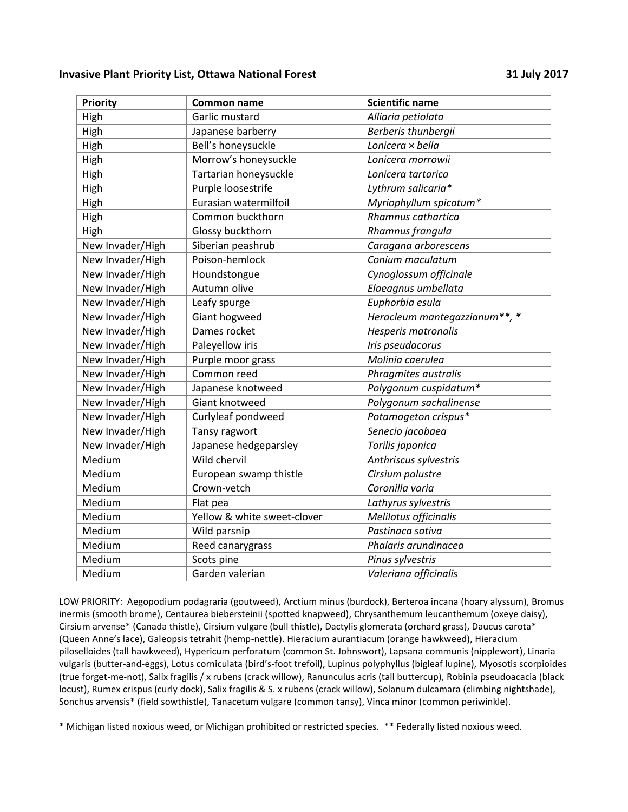## **Invasive Plant Priority List, Ottawa National Forest 31 July 2017**

| <b>Priority</b>  | <b>Common name</b>          | <b>Scientific name</b>        |
|------------------|-----------------------------|-------------------------------|
| High             | Garlic mustard              | Alliaria petiolata            |
| High             | Japanese barberry           | Berberis thunbergii           |
| High             | Bell's honeysuckle          | Lonicera × bella              |
| High             | Morrow's honeysuckle        | Lonicera morrowii             |
| High             | Tartarian honeysuckle       | Lonicera tartarica            |
| High             | Purple loosestrife          | Lythrum salicaria*            |
| High             | Eurasian watermilfoil       | Myriophyllum spicatum*        |
| High             | Common buckthorn            | Rhamnus cathartica            |
| High             | Glossy buckthorn            | Rhamnus frangula              |
| New Invader/High | Siberian peashrub           | Caragana arborescens          |
| New Invader/High | Poison-hemlock              | Conium maculatum              |
| New Invader/High | Houndstongue                | Cynoglossum officinale        |
| New Invader/High | Autumn olive                | Elaeagnus umbellata           |
| New Invader/High | Leafy spurge                | Euphorbia esula               |
| New Invader/High | Giant hogweed               | Heracleum mantegazzianum**, * |
| New Invader/High | Dames rocket                | Hesperis matronalis           |
| New Invader/High | Paleyellow iris             | Iris pseudacorus              |
| New Invader/High | Purple moor grass           | Molinia caerulea              |
| New Invader/High | Common reed                 | Phragmites australis          |
| New Invader/High | Japanese knotweed           | Polygonum cuspidatum*         |
| New Invader/High | Giant knotweed              | Polygonum sachalinense        |
| New Invader/High | Curlyleaf pondweed          | Potamogeton crispus*          |
| New Invader/High | Tansy ragwort               | Senecio jacobaea              |
| New Invader/High | Japanese hedgeparsley       | Torilis japonica              |
| Medium           | Wild chervil                | Anthriscus sylvestris         |
| Medium           | European swamp thistle      | Cirsium palustre              |
| Medium           | Crown-vetch                 | Coronilla varia               |
| Medium           | Flat pea                    | Lathyrus sylvestris           |
| Medium           | Yellow & white sweet-clover | Melilotus officinalis         |
| Medium           | Wild parsnip                | Pastinaca sativa              |
| Medium           | Reed canarygrass            | Phalaris arundinacea          |
| Medium           | Scots pine                  | Pinus sylvestris              |
| Medium           | Garden valerian             | Valeriana officinalis         |

LOW PRIORITY: Aegopodium podagraria (goutweed), Arctium minus (burdock), Berteroa incana (hoary alyssum), Bromus inermis (smooth brome), Centaurea biebersteinii (spotted knapweed), Chrysanthemum leucanthemum (oxeye daisy), Cirsium arvense\* (Canada thistle), Cirsium vulgare (bull thistle), Dactylis glomerata (orchard grass), Daucus carota\* (Queen Anne's lace), Galeopsis tetrahit (hemp-nettle). Hieracium aurantiacum (orange hawkweed), Hieracium piloselloides (tall hawkweed), Hypericum perforatum (common St. Johnswort), Lapsana communis (nipplewort), Linaria vulgaris (butter-and-eggs), Lotus corniculata (bird's-foot trefoil), Lupinus polyphyllus (bigleaf lupine), Myosotis scorpioides (true forget-me-not), Salix fragilis / x rubens (crack willow), Ranunculus acris (tall buttercup), Robinia pseudoacacia (black locust), Rumex crispus (curly dock), Salix fragilis & S. x rubens (crack willow), Solanum dulcamara (climbing nightshade), Sonchus arvensis\* (field sowthistle), Tanacetum vulgare (common tansy), Vinca minor (common periwinkle).

\* Michigan listed noxious weed, or Michigan prohibited or restricted species. \*\* Federally listed noxious weed.